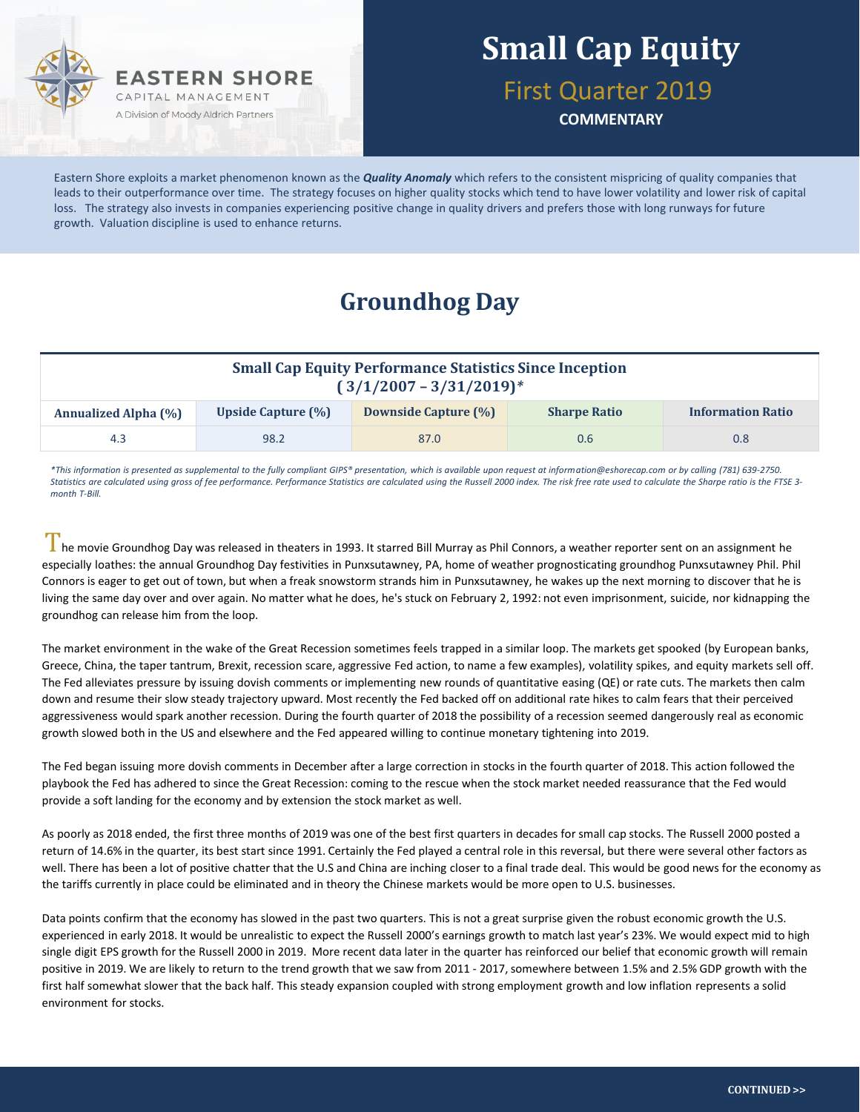

# **Small Cap Equity**

First Quarter 2019

**COMMENTARY**

Eastern Shore exploits a market phenomenon known as the *Quality Anomaly* which refers to the consistent mispricing of quality companies that leads to their outperformance over time. The strategy focuses on higher quality stocks which tend to have lower volatility and lower risk of capital loss. The strategy also invests in companies experiencing positive change in quality drivers and prefers those with long runways for future growth. Valuation discipline is used to enhance returns.

### **Groundhog Day**

| <b>Small Cap Equity Performance Statistics Since Inception</b><br>$(3/1/2007 - 3/31/2019)^*$ |                           |                             |                     |                          |  |  |  |  |
|----------------------------------------------------------------------------------------------|---------------------------|-----------------------------|---------------------|--------------------------|--|--|--|--|
| <b>Annualized Alpha (%)</b>                                                                  | <b>Upside Capture (%)</b> | <b>Downside Capture (%)</b> | <b>Sharpe Ratio</b> | <b>Information Ratio</b> |  |  |  |  |
| 4.3                                                                                          | 98.2                      | 87.0                        | 0.6                 | 0.8 <sub>0</sub>         |  |  |  |  |

*\*This information is presented as supplemental to the fully compliant GIPS® presentation, which is available upon request at information@eshorecap.com or by calling (781) 639-2750. Statistics are calculated using gross of fee performance. Performance Statistics are calculated using the Russell 2000 index. The risk free rate used to calculate the Sharpe ratio is the FTSE 3 month T-Bill.*

I he movie Groundhog Day was released in theaters in 1993. It starred Bill Murray as Phil Connors, a weather reporter sent on an assignment he especially loathes: the annual Groundhog Day festivities in Punxsutawney, PA, home of weather prognosticating groundhog Punxsutawney Phil. Phil Connors is eager to get out of town, but when a freak snowstorm strands him in Punxsutawney, he wakes up the next morning to discover that he is living the same day over and over again. No matter what he does, he's stuck on February 2, 1992: not even imprisonment, suicide, nor kidnapping the groundhog can release him from the loop.

The market environment in the wake of the Great Recession sometimes feels trapped in a similar loop. The markets get spooked (by European banks, Greece, China, the taper tantrum, Brexit, recession scare, aggressive Fed action, to name a few examples), volatility spikes, and equity markets sell off. The Fed alleviates pressure by issuing dovish comments or implementing new rounds of quantitative easing (QE) or rate cuts. The markets then calm down and resume their slow steady trajectory upward. Most recently the Fed backed off on additional rate hikes to calm fears that their perceived aggressiveness would spark another recession. During the fourth quarter of 2018 the possibility of a recession seemed dangerously real as economic growth slowed both in the US and elsewhere and the Fed appeared willing to continue monetary tightening into 2019.

The Fed began issuing more dovish comments in December after a large correction in stocks in the fourth quarter of 2018. This action followed the playbook the Fed has adhered to since the Great Recession: coming to the rescue when the stock market needed reassurance that the Fed would provide a soft landing for the economy and by extension the stock market as well.

As poorly as 2018 ended, the first three months of 2019 was one of the best first quarters in decades for small cap stocks. The Russell 2000 posted a return of 14.6% in the quarter, its best start since 1991. Certainly the Fed played a central role in this reversal, but there were several other factors as well. There has been a lot of positive chatter that the U.S and China are inching closer to a final trade deal. This would be good news for the economy as the tariffs currently in place could be eliminated and in theory the Chinese markets would be more open to U.S. businesses.

Data points confirm that the economy has slowed in the past two quarters. This is not a great surprise given the robust economic growth the U.S. experienced in early 2018. It would be unrealistic to expect the Russell 2000's earnings growth to match last year's 23%. We would expect mid to high single digit EPS growth for the Russell 2000 in 2019. More recent data later in the quarter has reinforced our belief that economic growth will remain positive in 2019. We are likely to return to the trend growth that we saw from 2011 - 2017, somewhere between 1.5% and 2.5% GDP growth with the first half somewhat slower that the back half. This steady expansion coupled with strong employment growth and low inflation represents a solid environment for stocks.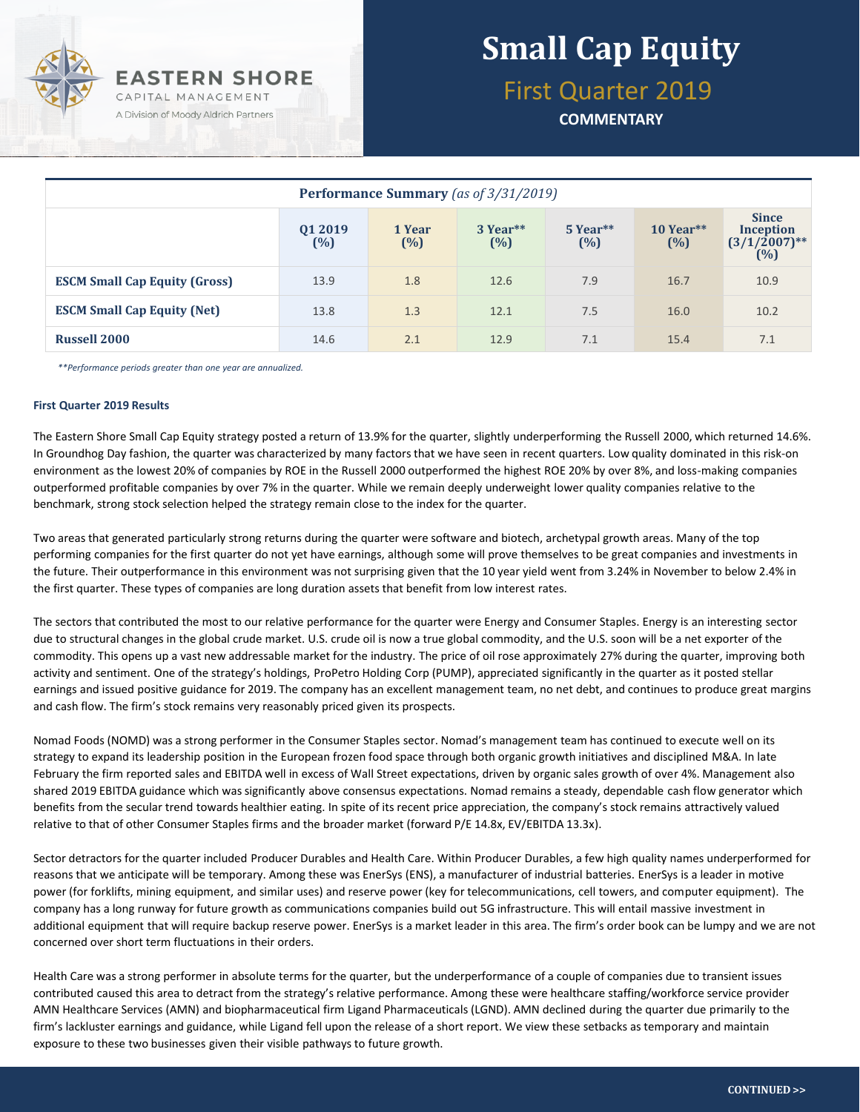

# **Small Cap Equity**

First Quarter 2019

**COMMENTARY**

| Performance Summary (as of 3/31/2019) |                |                  |                 |                   |                    |                                                            |  |  |  |
|---------------------------------------|----------------|------------------|-----------------|-------------------|--------------------|------------------------------------------------------------|--|--|--|
|                                       | Q1 2019<br>(%) | 1 Year<br>$(\%)$ | 3 Year**<br>(%) | $5$ Year**<br>(%) | $10$ Year**<br>(%) | <b>Since</b><br><b>Inception</b><br>$(3/1/2007)$ **<br>(%) |  |  |  |
| <b>ESCM Small Cap Equity (Gross)</b>  | 13.9           | 1.8              | 12.6            | 7.9               | 16.7               | 10.9                                                       |  |  |  |
| <b>ESCM Small Cap Equity (Net)</b>    | 13.8           | 1.3              | 12.1            | 7.5               | 16.0               | 10.2                                                       |  |  |  |
| <b>Russell 2000</b>                   | 14.6           | 2.1              | 12.9            | 7.1               | 15.4               | 7.1                                                        |  |  |  |

*\*\*Performance periods greater than one year are annualized.*

#### **First Quarter 2019 Results**

The Eastern Shore Small Cap Equity strategy posted a return of 13.9% for the quarter, slightly underperforming the Russell 2000, which returned 14.6%. In Groundhog Day fashion, the quarter was characterized by many factors that we have seen in recent quarters. Low quality dominated in this risk-on environment as the lowest 20% of companies by ROE in the Russell 2000 outperformed the highest ROE 20% by over 8%, and loss-making companies outperformed profitable companies by over 7% in the quarter. While we remain deeply underweight lower quality companies relative to the benchmark, strong stock selection helped the strategy remain close to the index for the quarter.

Two areas that generated particularly strong returns during the quarter were software and biotech, archetypal growth areas. Many of the top performing companies for the first quarter do not yet have earnings, although some will prove themselves to be great companies and investments in the future. Their outperformance in this environment was not surprising given that the 10 year yield went from 3.24% in November to below 2.4% in the first quarter. These types of companies are long duration assets that benefit from low interest rates.

The sectors that contributed the most to our relative performance for the quarter were Energy and Consumer Staples. Energy is an interesting sector due to structural changes in the global crude market. U.S. crude oil is now a true global commodity, and the U.S. soon will be a net exporter of the commodity. This opens up a vast new addressable market for the industry. The price of oil rose approximately 27% during the quarter, improving both activity and sentiment. One of the strategy's holdings, ProPetro Holding Corp (PUMP), appreciated significantly in the quarter as it posted stellar earnings and issued positive guidance for 2019. The company has an excellent management team, no net debt, and continues to produce great margins and cash flow. The firm's stock remains very reasonably priced given its prospects.

Nomad Foods (NOMD) was a strong performer in the Consumer Staples sector. Nomad's management team has continued to execute well on its strategy to expand its leadership position in the European frozen food space through both organic growth initiatives and disciplined M&A. In late February the firm reported sales and EBITDA well in excess of Wall Street expectations, driven by organic sales growth of over 4%. Management also shared 2019 EBITDA guidance which was significantly above consensus expectations. Nomad remains a steady, dependable cash flow generator which benefits from the secular trend towards healthier eating. In spite of its recent price appreciation, the company's stock remains attractively valued relative to that of other Consumer Staples firms and the broader market (forward P/E 14.8x, EV/EBITDA 13.3x).

Sector detractors for the quarter included Producer Durables and Health Care. Within Producer Durables, a few high quality names underperformed for reasons that we anticipate will be temporary. Among these was EnerSys (ENS), a manufacturer of industrial batteries. EnerSys is a leader in motive power (for forklifts, mining equipment, and similar uses) and reserve power (key for telecommunications, cell towers, and computer equipment). The company has a long runway for future growth as communications companies build out 5G infrastructure. This will entail massive investment in additional equipment that will require backup reserve power. EnerSys is a market leader in this area. The firm's order book can be lumpy and we are not concerned over short term fluctuations in their orders.

Health Care was a strong performer in absolute terms for the quarter, but the underperformance of a couple of companies due to transient issues contributed caused this area to detract from the strategy's relative performance. Among these were healthcare staffing/workforce service provider AMN Healthcare Services (AMN) and biopharmaceutical firm Ligand Pharmaceuticals (LGND). AMN declined during the quarter due primarily to the firm's lackluster earnings and guidance, while Ligand fell upon the release of a short report. We view these setbacks as temporary and maintain exposure to these two businesses given their visible pathways to future growth.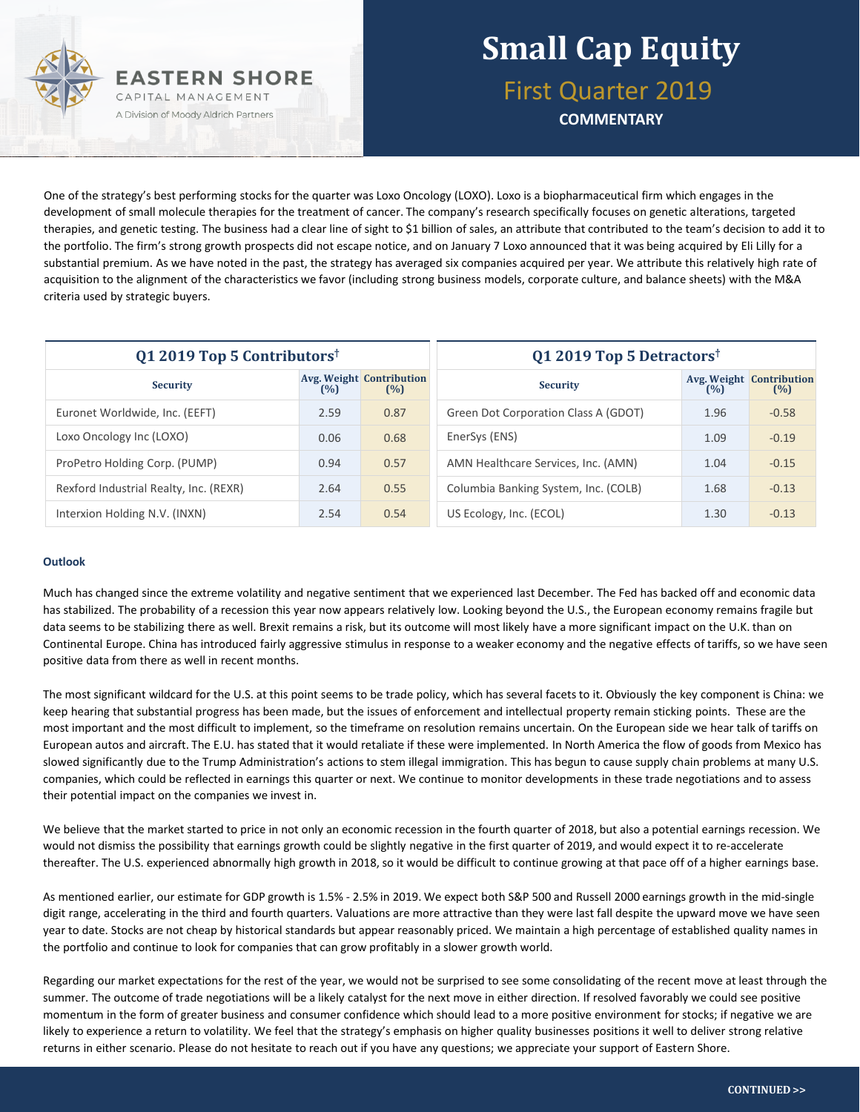

First Quarter 2019

**COMMENTARY**

One of the strategy's best performing stocks for the quarter was Loxo Oncology (LOXO). Loxo is a biopharmaceutical firm which engages in the development of small molecule therapies for the treatment of cancer. The company's research specifically focuses on genetic alterations, targeted therapies, and genetic testing. The business had a clear line of sight to \$1 billion of sales, an attribute that contributed to the team's decision to add it to the portfolio. The firm's strong growth prospects did not escape notice, and on January 7 Loxo announced that it was being acquired by Eli Lilly for a substantial premium. As we have noted in the past, the strategy has averaged six companies acquired per year. We attribute this relatively high rate of acquisition to the alignment of the characteristics we favor (including strong business models, corporate culture, and balance sheets) with the M&A criteria used by strategic buyers.

| Q1 2019 Top 5 Contributors <sup>†</sup> |      |                                        | Q1 2019 Top 5 Detractors <sup>†</sup> |      |                                        |  |
|-----------------------------------------|------|----------------------------------------|---------------------------------------|------|----------------------------------------|--|
| <b>Security</b>                         | (%)  | <b>Avg. Weight Contribution</b><br>(%) | <b>Security</b>                       | (%)  | <b>Avg. Weight Contribution</b><br>(%) |  |
| Euronet Worldwide, Inc. (EEFT)          | 2.59 | 0.87                                   | Green Dot Corporation Class A (GDOT)  | 1.96 | $-0.58$                                |  |
| Loxo Oncology Inc (LOXO)                | 0.06 | 0.68                                   | EnerSys (ENS)                         | 1.09 | $-0.19$                                |  |
| ProPetro Holding Corp. (PUMP)           | 0.94 | 0.57                                   | AMN Healthcare Services, Inc. (AMN)   | 1.04 | $-0.15$                                |  |
| Rexford Industrial Realty, Inc. (REXR)  | 2.64 | 0.55                                   | Columbia Banking System, Inc. (COLB)  | 1.68 | $-0.13$                                |  |
| Interxion Holding N.V. (INXN)           | 2.54 | 0.54                                   | US Ecology, Inc. (ECOL)               | 1.30 | $-0.13$                                |  |

#### **Outlook**

Much has changed since the extreme volatility and negative sentiment that we experienced last December. The Fed has backed off and economic data has stabilized. The probability of a recession this year now appears relatively low. Looking beyond the U.S., the European economy remains fragile but data seems to be stabilizing there as well. Brexit remains a risk, but its outcome will most likely have a more significant impact on the U.K. than on Continental Europe. China has introduced fairly aggressive stimulus in response to a weaker economy and the negative effects of tariffs, so we have seen positive data from there as well in recent months.

The most significant wildcard for the U.S. at this point seems to be trade policy, which has several facets to it. Obviously the key component is China: we keep hearing that substantial progress has been made, but the issues of enforcement and intellectual property remain sticking points. These are the most important and the most difficult to implement, so the timeframe on resolution remains uncertain. On the European side we hear talk of tariffs on European autos and aircraft. The E.U. has stated that it would retaliate if these were implemented. In North America the flow of goods from Mexico has slowed significantly due to the Trump Administration's actions to stem illegal immigration. This has begun to cause supply chain problems at many U.S. companies, which could be reflected in earnings this quarter or next. We continue to monitor developments in these trade negotiations and to assess their potential impact on the companies we invest in.

We believe that the market started to price in not only an economic recession in the fourth quarter of 2018, but also a potential earnings recession. We would not dismiss the possibility that earnings growth could be slightly negative in the first quarter of 2019, and would expect it to re-accelerate thereafter. The U.S. experienced abnormally high growth in 2018, so it would be difficult to continue growing at that pace off of a higher earnings base.

As mentioned earlier, our estimate for GDP growth is 1.5% - 2.5% in 2019. We expect both S&P 500 and Russell 2000 earnings growth in the mid-single digit range, accelerating in the third and fourth quarters. Valuations are more attractive than they were last fall despite the upward move we have seen year to date. Stocks are not cheap by historical standards but appear reasonably priced. We maintain a high percentage of established quality names in the portfolio and continue to look for companies that can grow profitably in a slower growth world.

Regarding our market expectations for the rest of the year, we would not be surprised to see some consolidating of the recent move at least through the summer. The outcome of trade negotiations will be a likely catalyst for the next move in either direction. If resolved favorably we could see positive momentum in the form of greater business and consumer confidence which should lead to a more positive environment for stocks; if negative we are likely to experience a return to volatility. We feel that the strategy's emphasis on higher quality businesses positions it well to deliver strong relative returns in either scenario. Please do not hesitate to reach out if you have any questions; we appreciate your support of Eastern Shore.